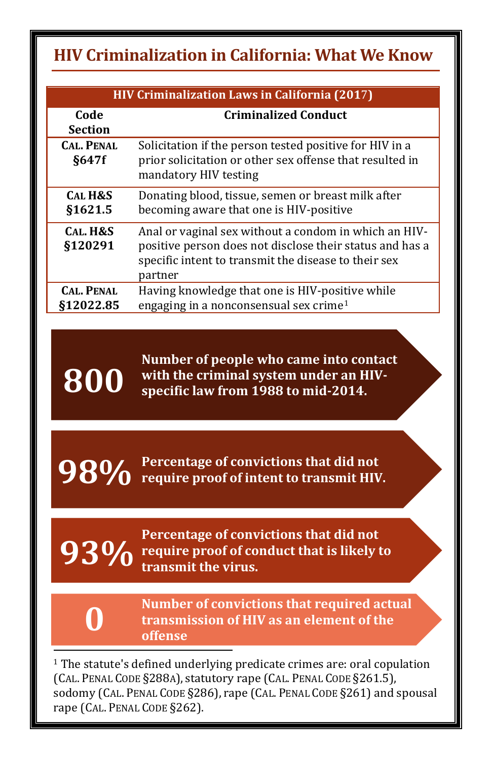## <span id="page-0-0"></span>**HIV Criminalization in California: What We Know**

| <b>HIV Criminalization Laws in California (2017)</b> |                                                                                                                                                                                      |
|------------------------------------------------------|--------------------------------------------------------------------------------------------------------------------------------------------------------------------------------------|
| Code<br><b>Section</b>                               | <b>Criminalized Conduct</b>                                                                                                                                                          |
| <b>CAL. PENAL</b><br>§647f                           | Solicitation if the person tested positive for HIV in a<br>prior solicitation or other sex offense that resulted in<br>mandatory HIV testing                                         |
| <b>CAL H&amp;S</b><br>\$1621.5                       | Donating blood, tissue, semen or breast milk after<br>becoming aware that one is HIV-positive                                                                                        |
| CAL. H&S<br>§120291                                  | Anal or vaginal sex without a condom in which an HIV-<br>positive person does not disclose their status and has a<br>specific intent to transmit the disease to their sex<br>partner |
| <b>CAL. PENAL</b><br>\$12022.85                      | Having knowledge that one is HIV-positive while<br>engaging in a nonconsensual sex crime <sup>1</sup>                                                                                |

**Number of people who came into contact with the criminal system under an HIVspecific law from 1988 to mid-2014.** 

**Percentage of convictions that did not 98%** Percentage of convictions that did not require proof of intent to transmit HIV.

**Percentage of convictions that did not 93%** require proof of conduct that is likely to transmit the virus. **transmit the virus.** 



**800**

**Number of convictions that required actual transmission of HIV as an element of the offense**

 $^{\rm 1}$  The statute's defined underlying predicate crimes are: oral copulation (CAL. PENAL CODE §288A), statutory rape (CAL. PENAL CODE §261.5), sodomy (CAL. PENAL CODE §286), rape (CAL. PENAL CODE §261) and spousal rape (CAL. PENAL CODE §262). j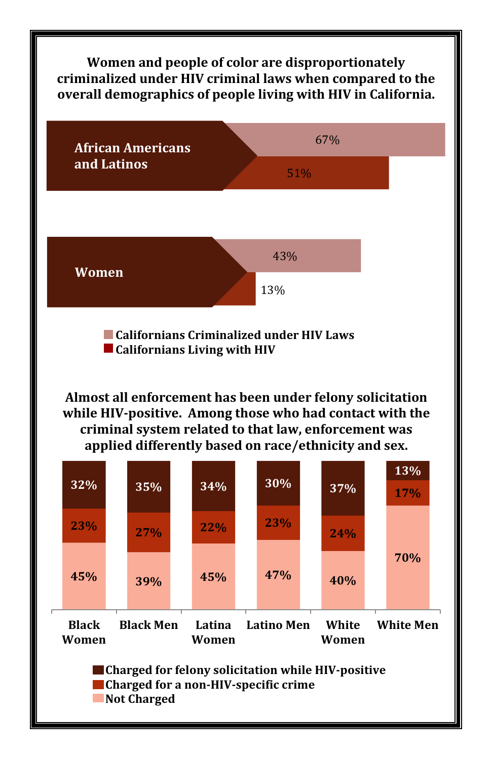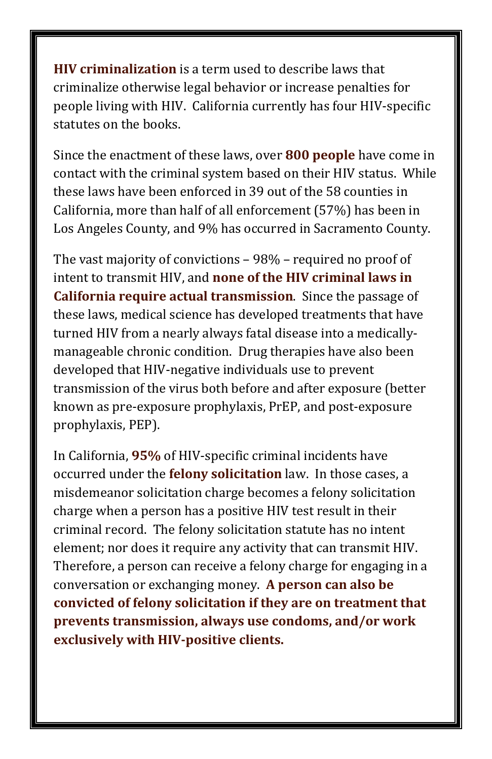**HIV criminalization** is a term used to describe laws that criminalize otherwise legal behavior or increase penalties for people living with HIV. California currently has four HIV-specific statutes on the books.

Since the enactment of these laws, over **800 people** have come in contact with the criminal system based on their HIV status. While these laws have been enforced in 39 out of the 58 counties in California, more than half of all enforcement (57%) has been in Los Angeles County, and 9% has occurred in Sacramento County.

The vast majority of convictions – 98% – required no proof of intent to transmit HIV, and **none of the HIV criminal laws in California require actual transmission**. Since the passage of these laws, medical science has developed treatments that have turned HIV from a nearly always fatal disease into a medicallymanageable chronic condition. Drug therapies have also been developed that HIV-negative individuals use to prevent transmission of the virus both before and after exposure (better known as pre-exposure prophylaxis, PrEP, and post-exposure prophylaxis, PEP).

In California, **95%** of HIV-specific criminal incidents have occurred under the **felony solicitation** law. In those cases, a misdemeanor solicitation charge becomes a felony solicitation charge when a person has a positive HIV test result in their criminal record. The felony solicitation statute has no intent element; nor does it require any activity that can transmit HIV. Therefore, a person can receive a felony charge for engaging in a conversation or exchanging money. **A person can also be convicted of felony solicitation if they are on treatment that prevents transmission, always use condoms, and/or work exclusively with HIV-positive clients.**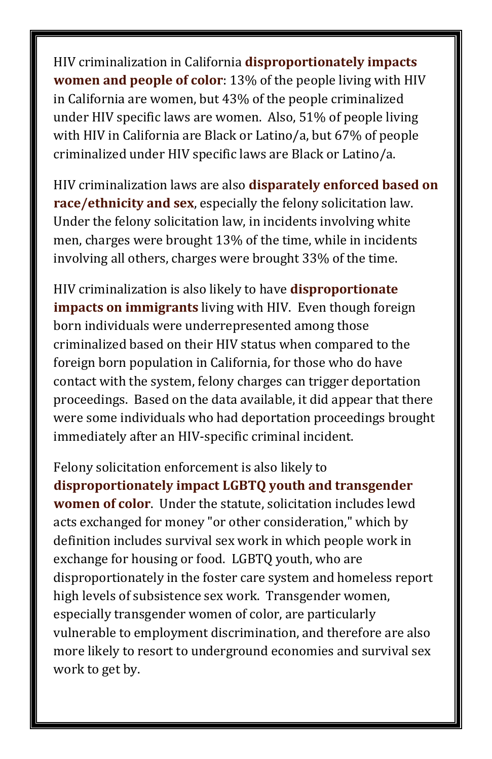HIV criminalization in California **disproportionately impacts women and people of color**: 13% of the people living with HIV in California are women, but 43% of the people criminalized under HIV specific laws are women. Also, 51% of people living with HIV in California are Black or Latino/a, but 67% of people criminalized under HIV specific laws are Black or Latino/a.

HIV criminalization laws are also **disparately enforced based on race/ethnicity and sex**, especially the felony solicitation law. Under the felony solicitation law, in incidents involving white men, charges were brought 13% of the time, while in incidents involving all others, charges were brought 33% of the time.

HIV criminalization is also likely to have **disproportionate impacts on immigrants** living with HIV. Even though foreign born individuals were underrepresented among those criminalized based on their HIV status when compared to the foreign born population in California, for those who do have contact with the system, felony charges can trigger deportation proceedings. Based on the data available, it did appear that there were some individuals who had deportation proceedings brought immediately after an HIV-specific criminal incident.

Felony solicitation enforcement is also likely to **disproportionately impact LGBTQ youth and transgender women of color**. Under the statute, solicitation includes lewd acts exchanged for money "or other consideration," which by definition includes survival sex work in which people work in exchange for housing or food. LGBTQ youth, who are disproportionately in the foster care system and homeless report high levels of subsistence sex work. Transgender women, especially transgender women of color, are particularly vulnerable to employment discrimination, and therefore are also more likely to resort to underground economies and survival sex work to get by.